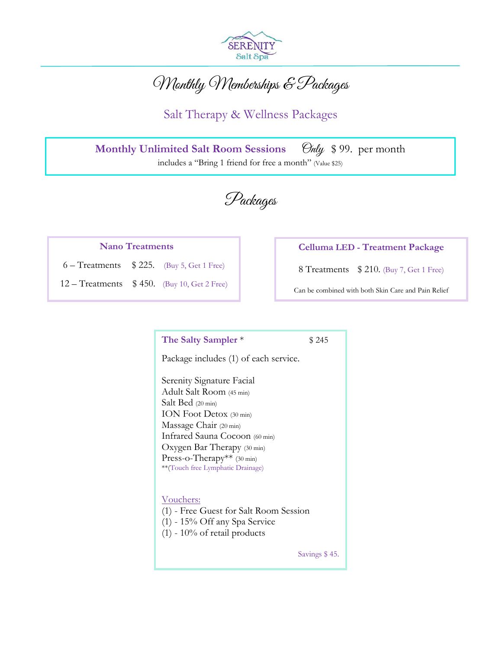

# Monthly Memberships & Packages

Salt Therapy & Wellness Packages

**Monthly Unlimited Salt Room Sessions** *Only* \$99. per month includes a "Bring 1 friend for free a month" (Value \$25)

Packages

#### **Nano Treatments**

 $6 - Treatments$  \$ 225. (Buy 5, Get 1 Free)

12 – Treatments \$ 450. (Buy 10, Get 2 Free)

#### **Celluma LED - Treatment Package**

8 Treatments \$ 210. (Buy 7, Get 1 Free)

Can be combined with both Skin Care and Pain Relief

**The Salty Sampler** \* \$245

Package includes (1) of each service.

Serenity Signature Facial Adult Salt Room (45 min) Salt Bed (20 min) ION Foot Detox (30 min) Massage Chair (20 min) Infrared Sauna Cocoon (60 min) Oxygen Bar Therapy (30 min) Press-o-Therapy\*\* (30 min) \*\*(Touch free Lymphatic Drainage)

#### Vouchers:

(1) - Free Guest for Salt Room Session

- (1) 15% Off any Spa Service
- $(1)$  10% of retail products

Savings \$ 45.